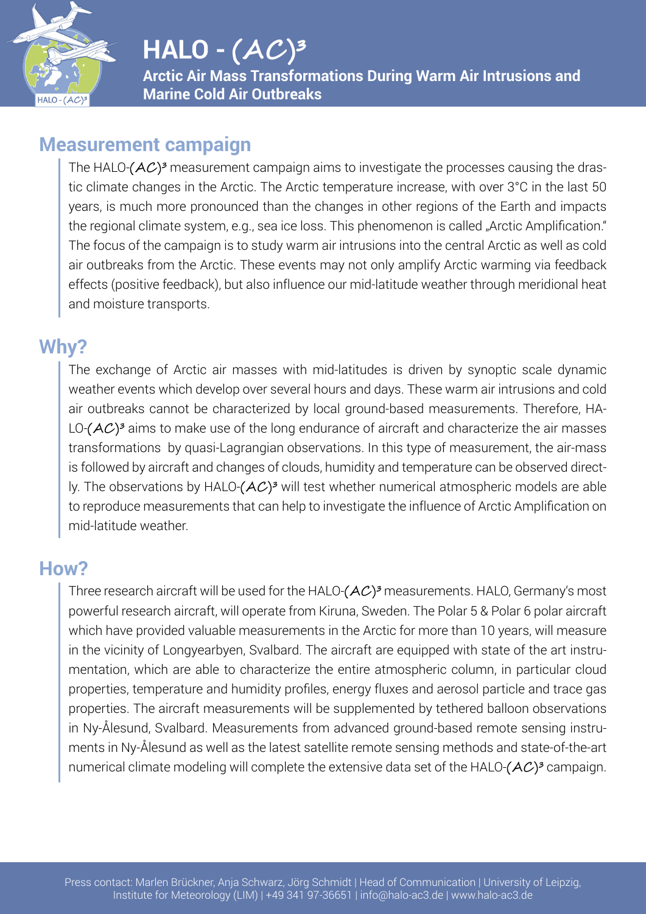

# $HALO - (AC)^3$

**Arctic Air Mass Transformations During Warm Air Intrusions and Marine Cold Air Outbreaks**

### **Measurement campaign**

The HALO- $(AC)^3$  measurement campaign aims to investigate the processes causing the drastic climate changes in the Arctic. The Arctic temperature increase, with over 3°C in the last 50 years, is much more pronounced than the changes in other regions of the Earth and impacts the regional climate system, e.g., sea ice loss. This phenomenon is called "Arctic Amplification." The focus of the campaign is to study warm air intrusions into the central Arctic as well as cold air outbreaks from the Arctic. These events may not only amplify Arctic warming via feedback effects (positive feedback), but also influence our mid-latitude weather through meridional heat and moisture transports.

#### **Why?**

The exchange of Arctic air masses with mid-latitudes is driven by synoptic scale dynamic weather events which develop over several hours and days. These warm air intrusions and cold air outbreaks cannot be characterized by local ground-based measurements. Therefore, HA-LO- $(AC)^3$  aims to make use of the long endurance of aircraft and characterize the air masses transformations by quasi-Lagrangian observations. In this type of measurement, the air-mass is followed by aircraft and changes of clouds, humidity and temperature can be observed directly. The observations by HALO- $(AC)^3$  will test whether numerical atmospheric models are able to reproduce measurements that can help to investigate the influence of Arctic Amplification on mid-latitude weather.

#### **How?**

Three research aircraft will be used for the HALO- $(AC)^3$  measurements. HALO, Germany's most powerful research aircraft, will operate from Kiruna, Sweden. The Polar 5 & Polar 6 polar aircraft which have provided valuable measurements in the Arctic for more than 10 years, will measure in the vicinity of Longyearbyen, Svalbard. The aircraft are equipped with state of the art instrumentation, which are able to characterize the entire atmospheric column, in particular cloud properties, temperature and humidity profiles, energy fluxes and aerosol particle and trace gas properties. The aircraft measurements will be supplemented by tethered balloon observations in Ny-Ålesund, Svalbard. Measurements from advanced ground-based remote sensing instruments in Ny-Ålesund as well as the latest satellite remote sensing methods and state-of-the-art numerical climate modeling will complete the extensive data set of the HALO- $(AC)^3$  campaign.